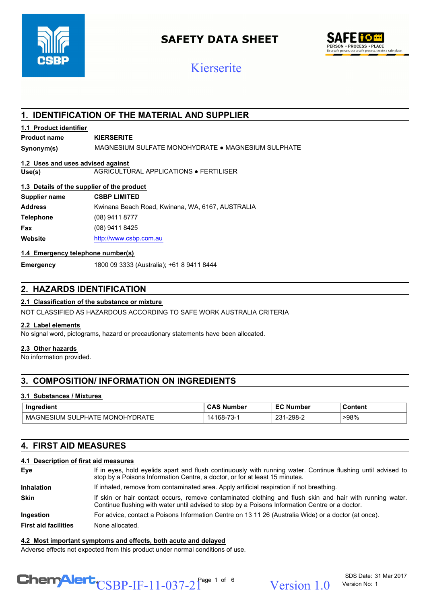

## **SAFETY DATA SHEET**



## Kierserite

## **1. IDENTIFICATION OF THE MATERIAL AND SUPPLIER**

#### **1.1 Product identifier**

#### **Product name KIERSERITE**

**Synonym(s)** MAGNESIUM SULFATE MONOHYDRATE ● MAGNESIUM SULPHATE

#### **1.2 Uses and uses advised against**

**Use(s)** AGRICULTURAL APPLICATIONS ● FERTILISER

#### **1.3 Details of the supplier of the product**

| Supplier name    | <b>CSBP LIMITED</b>                              |
|------------------|--------------------------------------------------|
| <b>Address</b>   | Kwinana Beach Road, Kwinana, WA, 6167, AUSTRALIA |
| <b>Telephone</b> | (08) 9411 8777                                   |
| Fax              | (08) 9411 8425                                   |
| Website          | http://www.csbp.com.au                           |

#### **1.4 Emergency telephone number(s)**

**Emergency** 1800 09 3333 (Australia); +61 8 9411 8444

## **2. HAZARDS IDENTIFICATION**

## **2.1 Classification of the substance or mixture**

NOT CLASSIFIED AS HAZARDOUS ACCORDING TO SAFE WORK AUSTRALIA CRITERIA

#### **2.2 Label elements**

No signal word, pictograms, hazard or precautionary statements have been allocated.

#### **2.3 Other hazards**

No information provided.

## **3. COMPOSITION/ INFORMATION ON INGREDIENTS**

#### **3.1 Substances / Mixtures**

| Ingredient                                                                   | Number                                                                | Number<br>- -    | Content |
|------------------------------------------------------------------------------|-----------------------------------------------------------------------|------------------|---------|
| DRATE<br>`NHV.<br>. MC<br>.GNE'<br>SULI<br>JNC<br>MA'<br>., PHAIF 1<br>.SIUM | $\overline{\phantom{a}}$<br>$\cdot$ 4 $\overline{ }$<br>`ხგ–<br>- - - | 221<br>231-298-2 | >98%    |

## **4. FIRST AID MEASURES**

#### **4.1 Description of first aid measures**

| Eye                         | If in eyes, hold eyelids apart and flush continuously with running water. Continue flushing until advised to<br>stop by a Poisons Information Centre, a doctor, or for at least 15 minutes.                 |
|-----------------------------|-------------------------------------------------------------------------------------------------------------------------------------------------------------------------------------------------------------|
| <b>Inhalation</b>           | If inhaled, remove from contaminated area. Apply artificial respiration if not breathing.                                                                                                                   |
| <b>Skin</b>                 | If skin or hair contact occurs, remove contaminated clothing and flush skin and hair with running water.<br>Continue flushing with water until advised to stop by a Poisons Information Centre or a doctor. |
| <b>Ingestion</b>            | For advice, contact a Poisons Information Centre on 13 11 26 (Australia Wide) or a doctor (at once).                                                                                                        |
| <b>First aid facilities</b> | None allocated.                                                                                                                                                                                             |

#### **4.2 Most important symptoms and effects, both acute and delayed**

Adverse effects not expected from this product under normal conditions of use.

## $\text{CSBP-IF-11-037-2}^{\text{Page 1 of 6}}$  Version 1.0

SDS Date: 31 Mar 2017 Version No: 1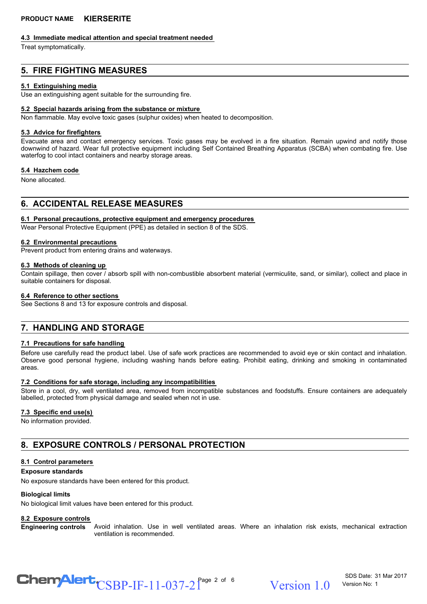#### **4.3 Immediate medical attention and special treatment needed**

Treat symptomatically.

## **5. FIRE FIGHTING MEASURES**

#### **5.1 Extinguishing media**

Use an extinguishing agent suitable for the surrounding fire.

#### **5.2 Special hazards arising from the substance or mixture**

Non flammable. May evolve toxic gases (sulphur oxides) when heated to decomposition.

#### **5.3 Advice for firefighters**

Evacuate area and contact emergency services. Toxic gases may be evolved in a fire situation. Remain upwind and notify those downwind of hazard. Wear full protective equipment including Self Contained Breathing Apparatus (SCBA) when combating fire. Use waterfog to cool intact containers and nearby storage areas.

#### **5.4 Hazchem code**

None allocated.

## **6. ACCIDENTAL RELEASE MEASURES**

#### **6.1 Personal precautions, protective equipment and emergency procedures**

Wear Personal Protective Equipment (PPE) as detailed in section 8 of the SDS.

#### **6.2 Environmental precautions**

Prevent product from entering drains and waterways.

#### **6.3 Methods of cleaning up**

Contain spillage, then cover / absorb spill with non-combustible absorbent material (vermiculite, sand, or similar), collect and place in suitable containers for disposal.

#### **6.4 Reference to other sections**

See Sections 8 and 13 for exposure controls and disposal.

## **7. HANDLING AND STORAGE**

#### **7.1 Precautions for safe handling**

Before use carefully read the product label. Use of safe work practices are recommended to avoid eye or skin contact and inhalation. Observe good personal hygiene, including washing hands before eating. Prohibit eating, drinking and smoking in contaminated areas.

#### **7.2 Conditions for safe storage, including any incompatibilities**

Store in a cool, dry, well ventilated area, removed from incompatible substances and foodstuffs. Ensure containers are adequately labelled, protected from physical damage and sealed when not in use.

#### **7.3 Specific end use(s)**

No information provided.

## **8. EXPOSURE CONTROLS / PERSONAL PROTECTION**

#### **8.1 Control parameters**

#### **Exposure standards**

No exposure standards have been entered for this product.

#### **Biological limits**

No biological limit values have been entered for this product.

#### **8.2 Exposure controls**

Avoid inhalation. Use in well ventilated areas. Where an inhalation risk exists, mechanical extraction ventilation is recommended. **Engineering controls**

# $\text{CSBP-IF-11-037-2}^{\text{Page 2 of 6}}$  Version 1.0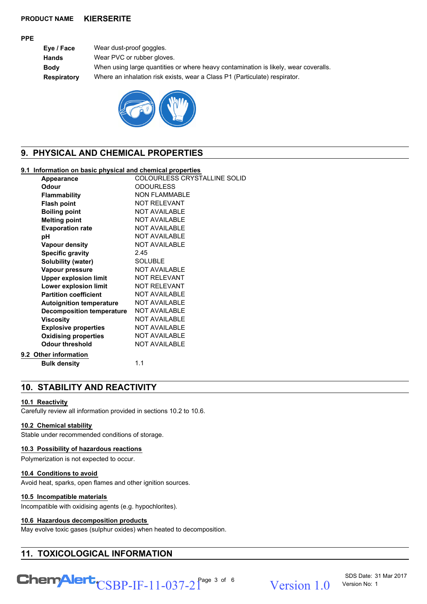#### **PPE**

**Eye / Face** Wear dust-proof goggles. **Hands** Wear PVC or rubber gloves. **Body** When using large quantities or where heavy contamination is likely, wear coveralls. **Respiratory** Where an inhalation risk exists, wear a Class P1 (Particulate) respirator.



## **9. PHYSICAL AND CHEMICAL PROPERTIES**

#### **9.1 Information on basic physical and chemical properties**

| Appearance                       | COLOURLESS CRYSTALLINE SOLID |
|----------------------------------|------------------------------|
| Odour                            | <b>ODOURLESS</b>             |
| <b>Flammability</b>              | <b>NON FLAMMABLE</b>         |
| <b>Flash point</b>               | <b>NOT RELEVANT</b>          |
| <b>Boiling point</b>             | <b>NOT AVAILABLE</b>         |
| <b>Melting point</b>             | <b>NOT AVAILABLE</b>         |
| <b>Evaporation rate</b>          | <b>NOT AVAILABLE</b>         |
| рH                               | <b>NOT AVAILABLE</b>         |
| <b>Vapour density</b>            | <b>NOT AVAILABLE</b>         |
| <b>Specific gravity</b>          | 2.45                         |
| Solubility (water)               | <b>SOLUBLE</b>               |
| Vapour pressure                  | <b>NOT AVAILABLE</b>         |
| <b>Upper explosion limit</b>     | <b>NOT RELEVANT</b>          |
| Lower explosion limit            | <b>NOT RELEVANT</b>          |
| <b>Partition coefficient</b>     | <b>NOT AVAILABLE</b>         |
| <b>Autoignition temperature</b>  | <b>NOT AVAILABLE</b>         |
| <b>Decomposition temperature</b> | <b>NOT AVAILABLE</b>         |
| <b>Viscosity</b>                 | <b>NOT AVAILABLE</b>         |
| <b>Explosive properties</b>      | <b>NOT AVAILABLE</b>         |
| <b>Oxidising properties</b>      | <b>NOT AVAILABLE</b>         |
| <b>Odour threshold</b>           | <b>NOT AVAILABLE</b>         |
| 9.2 Other information            |                              |
| <b>Bulk density</b>              | 1.1                          |
|                                  |                              |

## **10. STABILITY AND REACTIVITY**

#### **10.1 Reactivity**

Carefully review all information provided in sections 10.2 to 10.6.

## **10.2 Chemical stability**

Stable under recommended conditions of storage.

#### **10.3 Possibility of hazardous reactions**

Polymerization is not expected to occur.

#### **10.4 Conditions to avoid**

Avoid heat, sparks, open flames and other ignition sources.

#### **10.5 Incompatible materials**

Incompatible with oxidising agents (e.g. hypochlorites).

#### **10.6 Hazardous decomposition products**

May evolve toxic gases (sulphur oxides) when heated to decomposition.

## **11. TOXICOLOGICAL INFORMATION**

## $\text{CSBP-IF-11-037-2}^{\text{Page 3 of 6}}$  Version 1.0

SDS Date: 31 Mar 2017 Version No: 1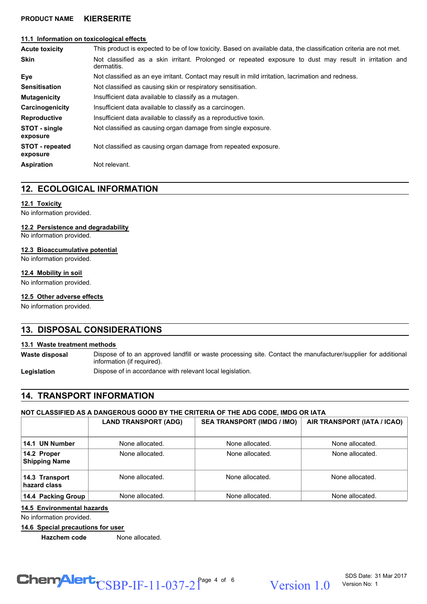#### **11.1 Information on toxicological effects**

| <b>Acute toxicity</b>       | This product is expected to be of low toxicity. Based on available data, the classification criteria are not met.     |  |  |
|-----------------------------|-----------------------------------------------------------------------------------------------------------------------|--|--|
| <b>Skin</b>                 | Not classified as a skin irritant. Prolonged or repeated exposure to dust may result in irritation and<br>dermatitis. |  |  |
| Eye                         | Not classified as an eye irritant. Contact may result in mild irritation, lacrimation and redness.                    |  |  |
| <b>Sensitisation</b>        | Not classified as causing skin or respiratory sensitisation.                                                          |  |  |
| <b>Mutagenicity</b>         | Insufficient data available to classify as a mutagen.                                                                 |  |  |
| Carcinogenicity             | Insufficient data available to classify as a carcinogen.                                                              |  |  |
| <b>Reproductive</b>         | Insufficient data available to classify as a reproductive toxin.                                                      |  |  |
| STOT - single<br>exposure   | Not classified as causing organ damage from single exposure.                                                          |  |  |
| STOT - repeated<br>exposure | Not classified as causing organ damage from repeated exposure.                                                        |  |  |
| <b>Aspiration</b>           | Not relevant.                                                                                                         |  |  |

## **12. ECOLOGICAL INFORMATION**

#### **12.1 Toxicity**

No information provided.

**12.2 Persistence and degradability**

No information provided.

#### **12.3 Bioaccumulative potential**

No information provided.

#### **12.4 Mobility in soil**

No information provided.

#### **12.5 Other adverse effects**

No information provided.

## **13. DISPOSAL CONSIDERATIONS**

#### **13.1 Waste treatment methods**

Dispose of to an approved landfill or waste processing site. Contact the manufacturer/supplier for additional information (if required). **Waste disposal**

Legislation **Dispose of in accordance with relevant local legislation.** 

## **14. TRANSPORT INFORMATION**

#### **NOT CLASSIFIED AS A DANGEROUS GOOD BY THE CRITERIA OF THE ADG CODE, IMDG OR IATA**

|                                     | <b>LAND TRANSPORT (ADG)</b> | <b>SEA TRANSPORT (IMDG / IMO)</b> | AIR TRANSPORT (IATA / ICAO) |
|-------------------------------------|-----------------------------|-----------------------------------|-----------------------------|
| 14.1 UN Number                      | None allocated.             | None allocated.                   | None allocated.             |
| 14.2 Proper<br><b>Shipping Name</b> | None allocated.             | None allocated.                   | None allocated.             |
| 14.3 Transport<br>hazard class      | None allocated.             | None allocated.                   | None allocated.             |
| 14.4 Packing Group                  | None allocated.             | None allocated.                   | None allocated.             |

#### **14.5 Environmental hazards**

No information provided.

#### **14.6 Special precautions for user**

**Hazchem code** None allocated.

# $\text{CSBP-IF-11-037-2}^{\text{Page 4 of 6}}$  Version 1.0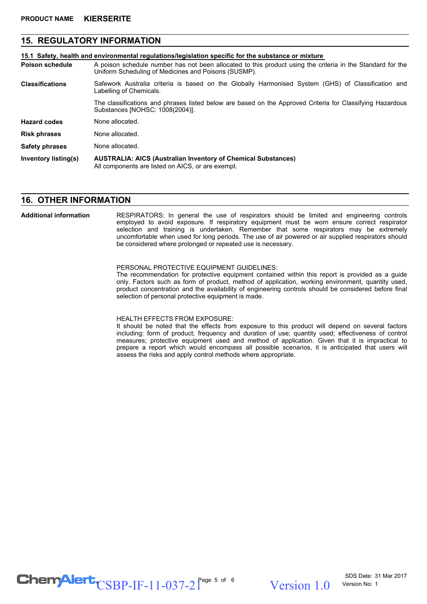## **15. REGULATORY INFORMATION**

**15.1 Safety, health and environmental regulations/legislation specific for the substance or mixture**

- A poison schedule number has not been allocated to this product using the criteria in the Standard for the Uniform Scheduling of Medicines and Poisons (SUSMP). **Poison schedule**
- Safework Australia criteria is based on the Globally Harmonised System (GHS) of Classification and Labelling of Chemicals. **Classifications**

The classifications and phrases listed below are based on the Approved Criteria for Classifying Hazardous Substances [NOHSC: 1008(2004)].

**Hazard codes** None allocated.

**Risk phrases** None allocated.

**Safety phrases** None allocated.

**AUSTRALIA: AICS (Australian Inventory of Chemical Substances)** All components are listed on AICS, or are exempt. **Inventory listing(s)**

## **16. OTHER INFORMATION**

#### RESPIRATORS: In general the use of respirators should be limited and engineering controls employed to avoid exposure. If respiratory equipment must be worn ensure correct respirator selection and training is undertaken. Remember that some respirators may be extremely uncomfortable when used for long periods. The use of air powered or air supplied respirators should be considered where prolonged or repeated use is necessary. **Additional information**

#### PERSONAL PROTECTIVE EQUIPMENT GUIDELINES:

The recommendation for protective equipment contained within this report is provided as a guide only. Factors such as form of product, method of application, working environment, quantity used, product concentration and the availability of engineering controls should be considered before final selection of personal protective equipment is made.

#### HEALTH EFFECTS FROM EXPOSURE:

It should be noted that the effects from exposure to this product will depend on several factors including: form of product; frequency and duration of use; quantity used; effectiveness of control measures; protective equipment used and method of application. Given that it is impractical to prepare a report which would encompass all possible scenarios, it is anticipated that users will assess the risks and apply control methods where appropriate.

## $\text{CSBP-IF-11-037-2}^{\text{Page 5 of 6}}$  Version 1.0